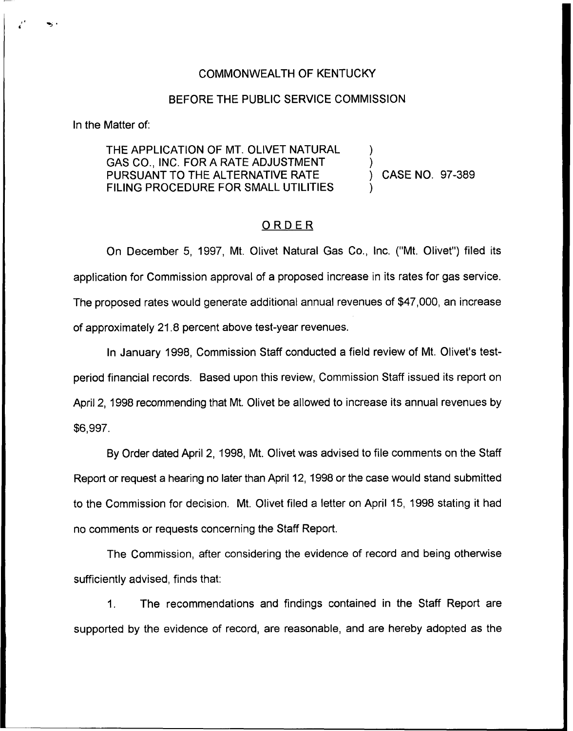### COMMONWEALTH OF KENTUCKY

#### BEFORE THE PUBLIC SERVICE COMMISSION

In the Matter of:

### THE APPLICATION OF MT. OLIVET NATURAL GAS CO., INC. FOR A RATE ADJUSTMENT PURSUANT TO THE ALTERNATIVE RATE FILING PROCEDURE FOR SMALL UTILITIES

) CASE NO. 97-389

) )

)

### ORDER

On December 5, 1997, Mt. Olivet Natural Gas Co., Inc. ("Mt. Olivet") filed its application for Commission approval of a proposed increase in its rates for gas service. The proposed rates would generate additional annual revenues of \$47,000, an increase of approximately 21.8 percent above test-year revenues.

In January 1998, Commission Staff conducted a field review of Mt. Olivet's testperiod financial records. Based upon this review, Commission Staff issued its report on April 2, 1998 recommending that Mt. Olivet be allowed to increase its annual revenues by \$6,997.

By Order dated April 2, 1998, Mt. Olivet was advised to file comments on the Staff Report or request a hearing no later than April 12, 1998 or the case would stand submitted to the Commission for decision. Mt. Olivet filed a letter on April 15, 1998 stating it had no comments or requests concerning the Staff Report.

The Commission, after considering the evidence of record and being otherwise sufficiently advised, finds that:

1. The recommendations and findings contained in the Staff Report are supported by the evidence of record, are reasonable, and are hereby adopted as the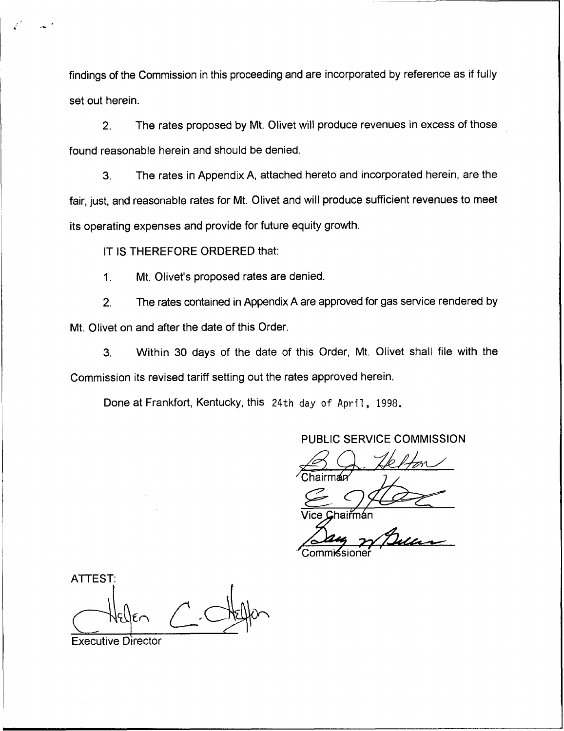findings of the Commission in this proceeding and are incorporated by reference as if fully set out herein.

2. The rates proposed by Mt. Olivet will produce revenues in excess of those found reasonable herein and should be denied.

3. The rates in Appendix A, attached hereto and incorporated herein, are the fair, just, and reasonable rates for Mt. Olivet and will produce sufficient revenues to meet its operating expenses and provide for future equity growth.

IT IS THEREFORE ORDERED that:

1. Mt. Olivet's proposed rates are denied.

2. The rates contained in Appendix A are approved for gas service rendered by Mt. Olivet on and after the date of this Order.

3. Within 30 days of the date of this Order, Mt. Olivet shall file with the Commission its revised tariff setting out the rates approved herein.

Done at Frankfort, Kentucky, this 24th day of April, 1998.

PUBLIC SERVICE COMMISSION<br>Chairman<br>Chairman<br>()

Commi⁄ssione

**ATTEST:** 

Executive Director